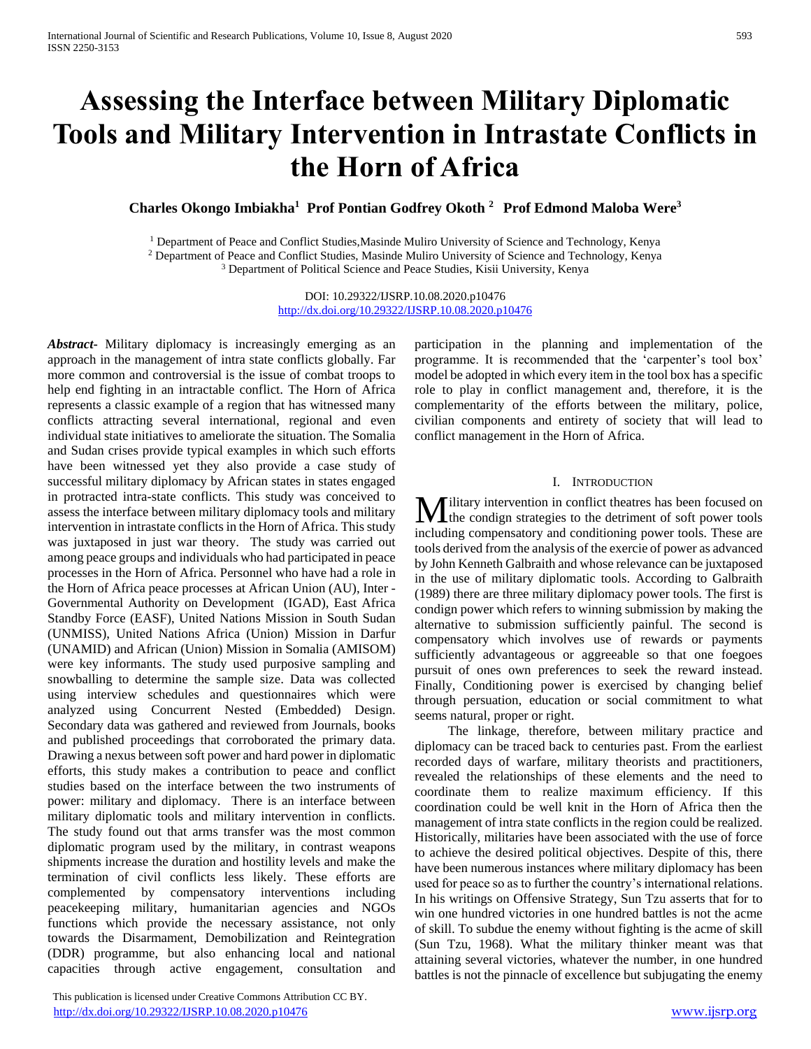# **Assessing the Interface between Military Diplomatic Tools and Military Intervention in Intrastate Conflicts in the Horn of Africa**

**Charles Okongo Imbiakha<sup>1</sup> Prof Pontian Godfrey Okoth <sup>2</sup> Prof Edmond Maloba Were<sup>3</sup>**

<sup>1</sup> Department of Peace and Conflict Studies,Masinde Muliro University of Science and Technology, Kenya <sup>2</sup> Department of Peace and Conflict Studies, Masinde Muliro University of Science and Technology, Kenya <sup>3</sup> Department of Political Science and Peace Studies, Kisii University, Kenya

> DOI: 10.29322/IJSRP.10.08.2020.p10476 <http://dx.doi.org/10.29322/IJSRP.10.08.2020.p10476>

*Abstract***-** Military diplomacy is increasingly emerging as an approach in the management of intra state conflicts globally. Far more common and controversial is the issue of combat troops to help end fighting in an intractable conflict. The Horn of Africa represents a classic example of a region that has witnessed many conflicts attracting several international, regional and even individual state initiatives to ameliorate the situation. The Somalia and Sudan crises provide typical examples in which such efforts have been witnessed yet they also provide a case study of successful military diplomacy by African states in states engaged in protracted intra-state conflicts. This study was conceived to assess the interface between military diplomacy tools and military intervention in intrastate conflicts in the Horn of Africa. This study was juxtaposed in just war theory. The study was carried out among peace groups and individuals who had participated in peace processes in the Horn of Africa. Personnel who have had a role in the Horn of Africa peace processes at African Union (AU), Inter - Governmental Authority on Development (IGAD), East Africa Standby Force (EASF), United Nations Mission in South Sudan (UNMISS), United Nations Africa (Union) Mission in Darfur (UNAMID) and African (Union) Mission in Somalia (AMISOM) were key informants. The study used purposive sampling and snowballing to determine the sample size. Data was collected using interview schedules and questionnaires which were analyzed using Concurrent Nested (Embedded) Design. Secondary data was gathered and reviewed from Journals, books and published proceedings that corroborated the primary data. Drawing a nexus between soft power and hard power in diplomatic efforts, this study makes a contribution to peace and conflict studies based on the interface between the two instruments of power: military and diplomacy. There is an interface between military diplomatic tools and military intervention in conflicts. The study found out that arms transfer was the most common diplomatic program used by the military, in contrast weapons shipments increase the duration and hostility levels and make the termination of civil conflicts less likely. These efforts are complemented by compensatory interventions including peacekeeping military, humanitarian agencies and NGOs functions which provide the necessary assistance, not only towards the Disarmament, Demobilization and Reintegration (DDR) programme, but also enhancing local and national capacities through active engagement, consultation and

 This publication is licensed under Creative Commons Attribution CC BY. <http://dx.doi.org/10.29322/IJSRP.10.08.2020.p10476> [www.ijsrp.org](http://ijsrp.org/)

participation in the planning and implementation of the programme. It is recommended that the 'carpenter's tool box' model be adopted in which every item in the tool box has a specific role to play in conflict management and, therefore, it is the complementarity of the efforts between the military, police, civilian components and entirety of society that will lead to conflict management in the Horn of Africa.

#### I. INTRODUCTION

lilitary intervention in conflict theatres has been focused on **M** lilitary intervention in conflict theatres has been focused on the condign strategies to the detriment of soft power tools including compensatory and conditioning power tools. These are tools derived from the analysis of the exercie of power as advanced by John Kenneth Galbraith and whose relevance can be juxtaposed in the use of military diplomatic tools. According to Galbraith (1989) there are three military diplomacy power tools. The first is condign power which refers to winning submission by making the alternative to submission sufficiently painful. The second is compensatory which involves use of rewards or payments sufficiently advantageous or aggreeable so that one foegoes pursuit of ones own preferences to seek the reward instead. Finally, Conditioning power is exercised by changing belief through persuation, education or social commitment to what seems natural, proper or right.

 The linkage, therefore, between military practice and diplomacy can be traced back to centuries past. From the earliest recorded days of warfare, military theorists and practitioners, revealed the relationships of these elements and the need to coordinate them to realize maximum efficiency. If this coordination could be well knit in the Horn of Africa then the management of intra state conflicts in the region could be realized. Historically, militaries have been associated with the use of force to achieve the desired political objectives. Despite of this, there have been numerous instances where military diplomacy has been used for peace so as to further the country's international relations. In his writings on Offensive Strategy, Sun Tzu asserts that for to win one hundred victories in one hundred battles is not the acme of skill. To subdue the enemy without fighting is the acme of skill (Sun Tzu, 1968). What the military thinker meant was that attaining several victories, whatever the number, in one hundred battles is not the pinnacle of excellence but subjugating the enemy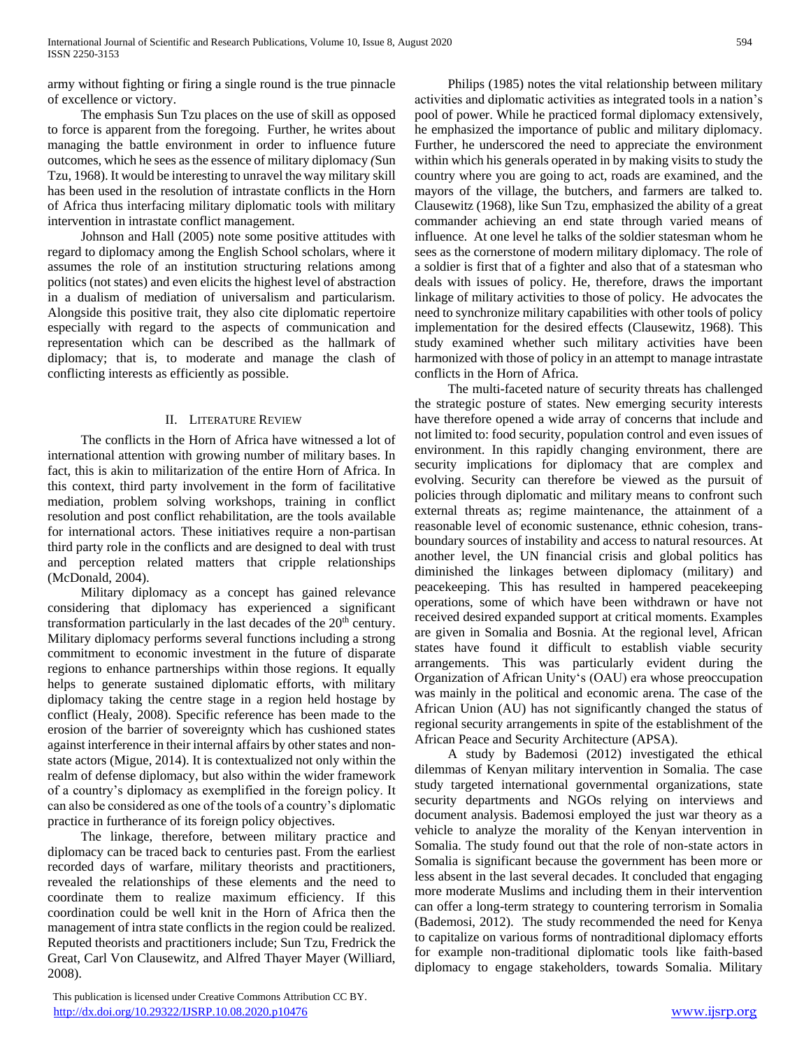army without fighting or firing a single round is the true pinnacle of excellence or victory.

 The emphasis Sun Tzu places on the use of skill as opposed to force is apparent from the foregoing. Further, he writes about managing the battle environment in order to influence future outcomes, which he sees as the essence of military diplomacy *(*Sun Tzu, 1968). It would be interesting to unravel the way military skill has been used in the resolution of intrastate conflicts in the Horn of Africa thus interfacing military diplomatic tools with military intervention in intrastate conflict management.

 Johnson and Hall (2005) note some positive attitudes with regard to diplomacy among the English School scholars, where it assumes the role of an institution structuring relations among politics (not states) and even elicits the highest level of abstraction in a dualism of mediation of universalism and particularism. Alongside this positive trait, they also cite diplomatic repertoire especially with regard to the aspects of communication and representation which can be described as the hallmark of diplomacy; that is, to moderate and manage the clash of conflicting interests as efficiently as possible.

# II. LITERATURE REVIEW

 The conflicts in the Horn of Africa have witnessed a lot of international attention with growing number of military bases. In fact, this is akin to militarization of the entire Horn of Africa. In this context, third party involvement in the form of facilitative mediation, problem solving workshops, training in conflict resolution and post conflict rehabilitation, are the tools available for international actors. These initiatives require a non-partisan third party role in the conflicts and are designed to deal with trust and perception related matters that cripple relationships (McDonald, 2004).

 Military diplomacy as a concept has gained relevance considering that diplomacy has experienced a significant transformation particularly in the last decades of the  $20<sup>th</sup>$  century. Military diplomacy performs several functions including a strong commitment to economic investment in the future of disparate regions to enhance partnerships within those regions. It equally helps to generate sustained diplomatic efforts, with military diplomacy taking the centre stage in a region held hostage by conflict (Healy, 2008). Specific reference has been made to the erosion of the barrier of sovereignty which has cushioned states against interference in their internal affairs by other states and nonstate actors (Migue, 2014). It is contextualized not only within the realm of defense diplomacy, but also within the wider framework of a country's diplomacy as exemplified in the foreign policy. It can also be considered as one of the tools of a country's diplomatic practice in furtherance of its foreign policy objectives.

 The linkage, therefore, between military practice and diplomacy can be traced back to centuries past. From the earliest recorded days of warfare, military theorists and practitioners, revealed the relationships of these elements and the need to coordinate them to realize maximum efficiency. If this coordination could be well knit in the Horn of Africa then the management of intra state conflicts in the region could be realized. Reputed theorists and practitioners include; Sun Tzu, Fredrick the Great, Carl Von Clausewitz, and Alfred Thayer Mayer (Williard, 2008).

pool of power. While he practiced formal diplomacy extensively, he emphasized the importance of public and military diplomacy. Further, he underscored the need to appreciate the environment within which his generals operated in by making visits to study the country where you are going to act, roads are examined, and the mayors of the village, the butchers, and farmers are talked to. Clausewitz (1968), like Sun Tzu, emphasized the ability of a great commander achieving an end state through varied means of influence. At one level he talks of the soldier statesman whom he sees as the cornerstone of modern military diplomacy. The role of a soldier is first that of a fighter and also that of a statesman who deals with issues of policy. He, therefore, draws the important linkage of military activities to those of policy. He advocates the need to synchronize military capabilities with other tools of policy implementation for the desired effects (Clausewitz, 1968). This study examined whether such military activities have been harmonized with those of policy in an attempt to manage intrastate conflicts in the Horn of Africa.

 The multi-faceted nature of security threats has challenged the strategic posture of states. New emerging security interests have therefore opened a wide array of concerns that include and not limited to: food security, population control and even issues of environment. In this rapidly changing environment, there are security implications for diplomacy that are complex and evolving. Security can therefore be viewed as the pursuit of policies through diplomatic and military means to confront such external threats as; regime maintenance, the attainment of a reasonable level of economic sustenance, ethnic cohesion, transboundary sources of instability and access to natural resources. At another level, the UN financial crisis and global politics has diminished the linkages between diplomacy (military) and peacekeeping. This has resulted in hampered peacekeeping operations, some of which have been withdrawn or have not received desired expanded support at critical moments. Examples are given in Somalia and Bosnia. At the regional level, African states have found it difficult to establish viable security arrangements. This was particularly evident during the Organization of African Unity's (OAU) era whose preoccupation was mainly in the political and economic arena. The case of the African Union (AU) has not significantly changed the status of regional security arrangements in spite of the establishment of the African Peace and Security Architecture (APSA).

 A study by Bademosi (2012) investigated the ethical dilemmas of Kenyan military intervention in Somalia. The case study targeted international governmental organizations, state security departments and NGOs relying on interviews and document analysis. Bademosi employed the just war theory as a vehicle to analyze the morality of the Kenyan intervention in Somalia. The study found out that the role of non-state actors in Somalia is significant because the government has been more or less absent in the last several decades. It concluded that engaging more moderate Muslims and including them in their intervention can offer a long-term strategy to countering terrorism in Somalia (Bademosi, 2012). The study recommended the need for Kenya to capitalize on various forms of nontraditional diplomacy efforts for example non-traditional diplomatic tools like faith-based diplomacy to engage stakeholders, towards Somalia. Military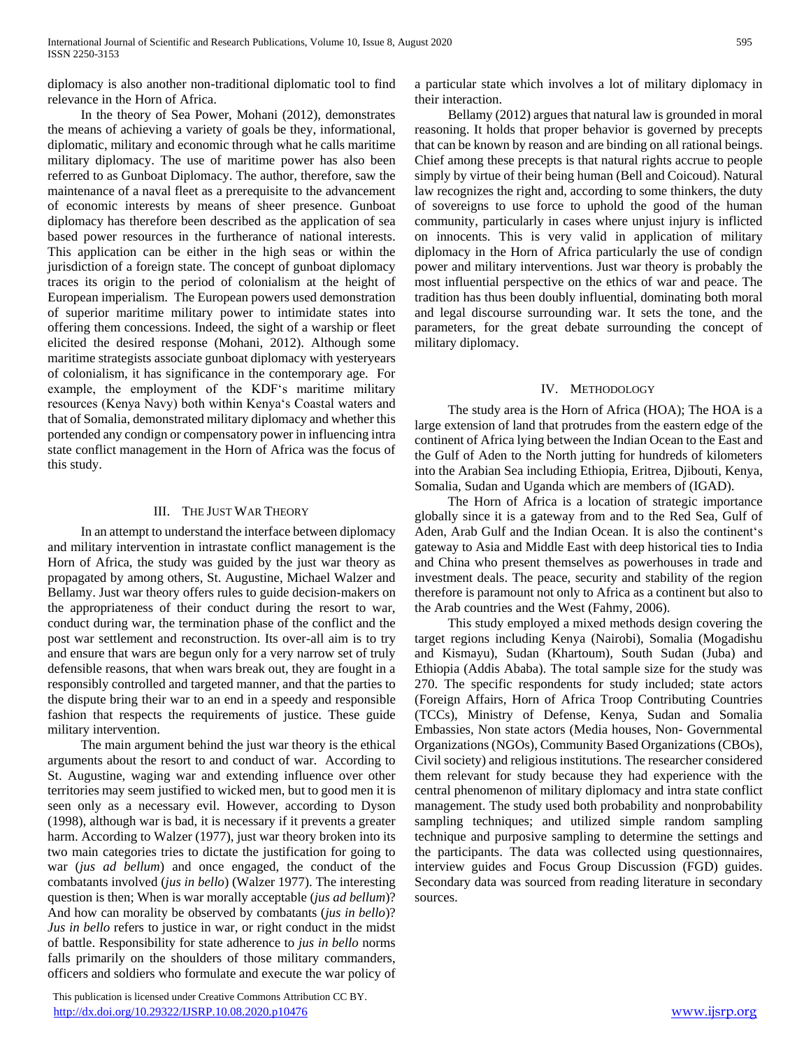diplomacy is also another non-traditional diplomatic tool to find relevance in the Horn of Africa.

 In the theory of Sea Power, Mohani (2012), demonstrates the means of achieving a variety of goals be they, informational, diplomatic, military and economic through what he calls maritime military diplomacy. The use of maritime power has also been referred to as Gunboat Diplomacy. The author, therefore, saw the maintenance of a naval fleet as a prerequisite to the advancement of economic interests by means of sheer presence. Gunboat diplomacy has therefore been described as the application of sea based power resources in the furtherance of national interests. This application can be either in the high seas or within the jurisdiction of a foreign state. The concept of gunboat diplomacy traces its origin to the period of colonialism at the height of European imperialism. The European powers used demonstration of superior maritime military power to intimidate states into offering them concessions. Indeed, the sight of a warship or fleet elicited the desired response (Mohani, 2012). Although some maritime strategists associate gunboat diplomacy with yesteryears of colonialism, it has significance in the contemporary age. For example, the employment of the KDF's maritime military resources (Kenya Navy) both within Kenya's Coastal waters and that of Somalia, demonstrated military diplomacy and whether this portended any condign or compensatory power in influencing intra state conflict management in the Horn of Africa was the focus of this study.

## III. THE JUST WAR THEORY

 In an attempt to understand the interface between diplomacy and military intervention in intrastate conflict management is the Horn of Africa, the study was guided by the just war theory as propagated by among others, St. Augustine, Michael Walzer and Bellamy. Just war theory offers rules to guide decision-makers on the appropriateness of their conduct during the resort to war, conduct during war, the termination phase of the conflict and the post war settlement and reconstruction. Its over-all aim is to try and ensure that wars are begun only for a very narrow set of truly defensible reasons, that when wars break out, they are fought in a responsibly controlled and targeted manner, and that the parties to the dispute bring their war to an end in a speedy and responsible fashion that respects the requirements of justice. These guide military intervention.

 The main argument behind the just war theory is the ethical arguments about the resort to and conduct of war. According to St. Augustine, waging war and extending influence over other territories may seem justified to wicked men, but to good men it is seen only as a necessary evil. However, according to Dyson (1998), although war is bad, it is necessary if it prevents a greater harm. According to Walzer (1977), just war theory broken into its two main categories tries to dictate the justification for going to war (*jus ad bellum*) and once engaged, the conduct of the combatants involved (*jus in bello*) (Walzer 1977). The interesting question is then; When is war morally acceptable (*jus ad bellum*)? And how can morality be observed by combatants (*jus in bello*)? *Jus in bello* refers to justice in war, or right conduct in the midst of battle. Responsibility for state adherence to *jus in bello* norms falls primarily on the shoulders of those military commanders, officers and soldiers who formulate and execute the war policy of

 This publication is licensed under Creative Commons Attribution CC BY. <http://dx.doi.org/10.29322/IJSRP.10.08.2020.p10476> [www.ijsrp.org](http://ijsrp.org/)

a particular state which involves a lot of military diplomacy in their interaction.

 Bellamy (2012) argues that natural law is grounded in moral reasoning. It holds that proper behavior is governed by precepts that can be known by reason and are binding on all rational beings. Chief among these precepts is that natural rights accrue to people simply by virtue of their being human (Bell and Coicoud). Natural law recognizes the right and, according to some thinkers, the duty of sovereigns to use force to uphold the good of the human community, particularly in cases where unjust injury is inflicted on innocents. This is very valid in application of military diplomacy in the Horn of Africa particularly the use of condign power and military interventions. Just war theory is probably the most influential perspective on the ethics of war and peace. The tradition has thus been doubly influential, dominating both moral and legal discourse surrounding war. It sets the tone, and the parameters, for the great debate surrounding the concept of military diplomacy.

#### IV. METHODOLOGY

 The study area is the Horn of Africa (HOA); The HOA is a large extension of land that protrudes from the eastern edge of the continent of Africa lying between the Indian Ocean to the East and the Gulf of Aden to the North jutting for hundreds of kilometers into the Arabian Sea including Ethiopia, Eritrea, Djibouti, Kenya, Somalia, Sudan and Uganda which are members of (IGAD).

 The Horn of Africa is a location of strategic importance globally since it is a gateway from and to the Red Sea, Gulf of Aden, Arab Gulf and the Indian Ocean. It is also the continent's gateway to Asia and Middle East with deep historical ties to India and China who present themselves as powerhouses in trade and investment deals. The peace, security and stability of the region therefore is paramount not only to Africa as a continent but also to the Arab countries and the West (Fahmy, 2006).

 This study employed a mixed methods design covering the target regions including Kenya (Nairobi), Somalia (Mogadishu and Kismayu), Sudan (Khartoum), South Sudan (Juba) and Ethiopia (Addis Ababa). The total sample size for the study was 270. The specific respondents for study included; state actors (Foreign Affairs, Horn of Africa Troop Contributing Countries (TCCs), Ministry of Defense, Kenya, Sudan and Somalia Embassies, Non state actors (Media houses, Non- Governmental Organizations (NGOs), Community Based Organizations (CBOs), Civil society) and religious institutions. The researcher considered them relevant for study because they had experience with the central phenomenon of military diplomacy and intra state conflict management. The study used both probability and nonprobability sampling techniques; and utilized simple random sampling technique and purposive sampling to determine the settings and the participants. The data was collected using questionnaires, interview guides and Focus Group Discussion (FGD) guides. Secondary data was sourced from reading literature in secondary sources.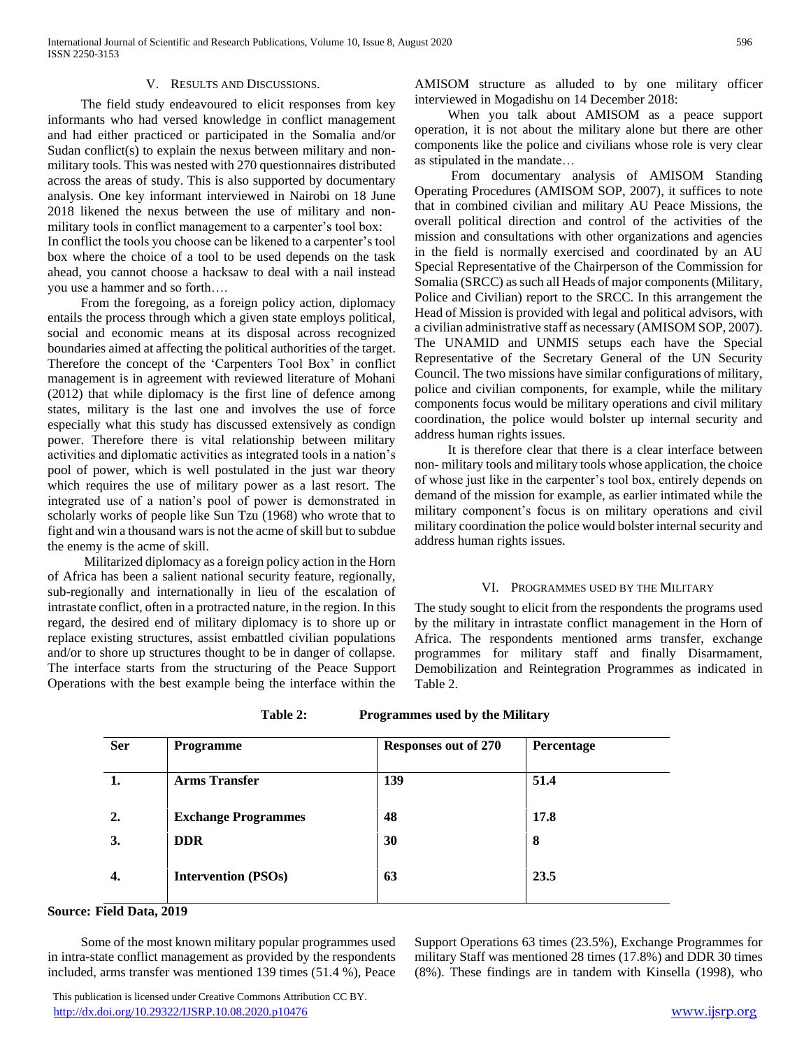#### V. RESULTS AND DISCUSSIONS.

 The field study endeavoured to elicit responses from key informants who had versed knowledge in conflict management and had either practiced or participated in the Somalia and/or Sudan conflict(s) to explain the nexus between military and nonmilitary tools. This was nested with 270 questionnaires distributed across the areas of study. This is also supported by documentary analysis. One key informant interviewed in Nairobi on 18 June 2018 likened the nexus between the use of military and nonmilitary tools in conflict management to a carpenter's tool box: In conflict the tools you choose can be likened to a carpenter's tool box where the choice of a tool to be used depends on the task ahead, you cannot choose a hacksaw to deal with a nail instead you use a hammer and so forth….

 From the foregoing, as a foreign policy action, diplomacy entails the process through which a given state employs political, social and economic means at its disposal across recognized boundaries aimed at affecting the political authorities of the target. Therefore the concept of the 'Carpenters Tool Box' in conflict management is in agreement with reviewed literature of Mohani (2012) that while diplomacy is the first line of defence among states, military is the last one and involves the use of force especially what this study has discussed extensively as condign power. Therefore there is vital relationship between military activities and diplomatic activities as integrated tools in a nation's pool of power, which is well postulated in the just war theory which requires the use of military power as a last resort. The integrated use of a nation's pool of power is demonstrated in scholarly works of people like Sun Tzu (1968) who wrote that to fight and win a thousand wars is not the acme of skill but to subdue the enemy is the acme of skill.

 Militarized diplomacy as a foreign policy action in the Horn of Africa has been a salient national security feature, regionally, sub-regionally and internationally in lieu of the escalation of intrastate conflict, often in a protracted nature, in the region. In this regard, the desired end of military diplomacy is to shore up or replace existing structures, assist embattled civilian populations and/or to shore up structures thought to be in danger of collapse. The interface starts from the structuring of the Peace Support Operations with the best example being the interface within the AMISOM structure as alluded to by one military officer interviewed in Mogadishu on 14 December 2018:

 When you talk about AMISOM as a peace support operation, it is not about the military alone but there are other components like the police and civilians whose role is very clear as stipulated in the mandate…

 From documentary analysis of AMISOM Standing Operating Procedures (AMISOM SOP, 2007), it suffices to note that in combined civilian and military AU Peace Missions, the overall political direction and control of the activities of the mission and consultations with other organizations and agencies in the field is normally exercised and coordinated by an AU Special Representative of the Chairperson of the Commission for Somalia (SRCC) as such all Heads of major components (Military, Police and Civilian) report to the SRCC. In this arrangement the Head of Mission is provided with legal and political advisors, with a civilian administrative staff as necessary (AMISOM SOP, 2007). The UNAMID and UNMIS setups each have the Special Representative of the Secretary General of the UN Security Council. The two missions have similar configurations of military, police and civilian components, for example, while the military components focus would be military operations and civil military coordination, the police would bolster up internal security and address human rights issues.

 It is therefore clear that there is a clear interface between non- military tools and military tools whose application, the choice of whose just like in the carpenter's tool box, entirely depends on demand of the mission for example, as earlier intimated while the military component's focus is on military operations and civil military coordination the police would bolster internal security and address human rights issues.

#### VI. PROGRAMMES USED BY THE MILITARY

The study sought to elicit from the respondents the programs used by the military in intrastate conflict management in the Horn of Africa. The respondents mentioned arms transfer, exchange programmes for military staff and finally Disarmament, Demobilization and Reintegration Programmes as indicated in Table 2.

| <b>Ser</b>       | <b>Programme</b>           | <b>Responses out of 270</b> | <b>Percentage</b> |
|------------------|----------------------------|-----------------------------|-------------------|
|                  | <b>Arms Transfer</b>       | 139                         | 51.4              |
| $\overline{2}$ . | <b>Exchange Programmes</b> | 48                          | 17.8              |
| 3.               | <b>DDR</b>                 | 30                          | 8                 |
| 4.               | <b>Intervention (PSOs)</b> | 63                          | 23.5              |

**Table 2: Programmes used by the Military**

#### **Source: Field Data, 2019**

 Some of the most known military popular programmes used in intra-state conflict management as provided by the respondents included, arms transfer was mentioned 139 times (51.4 %), Peace

Support Operations 63 times (23.5%), Exchange Programmes for military Staff was mentioned 28 times (17.8%) and DDR 30 times (8%). These findings are in tandem with Kinsella (1998), who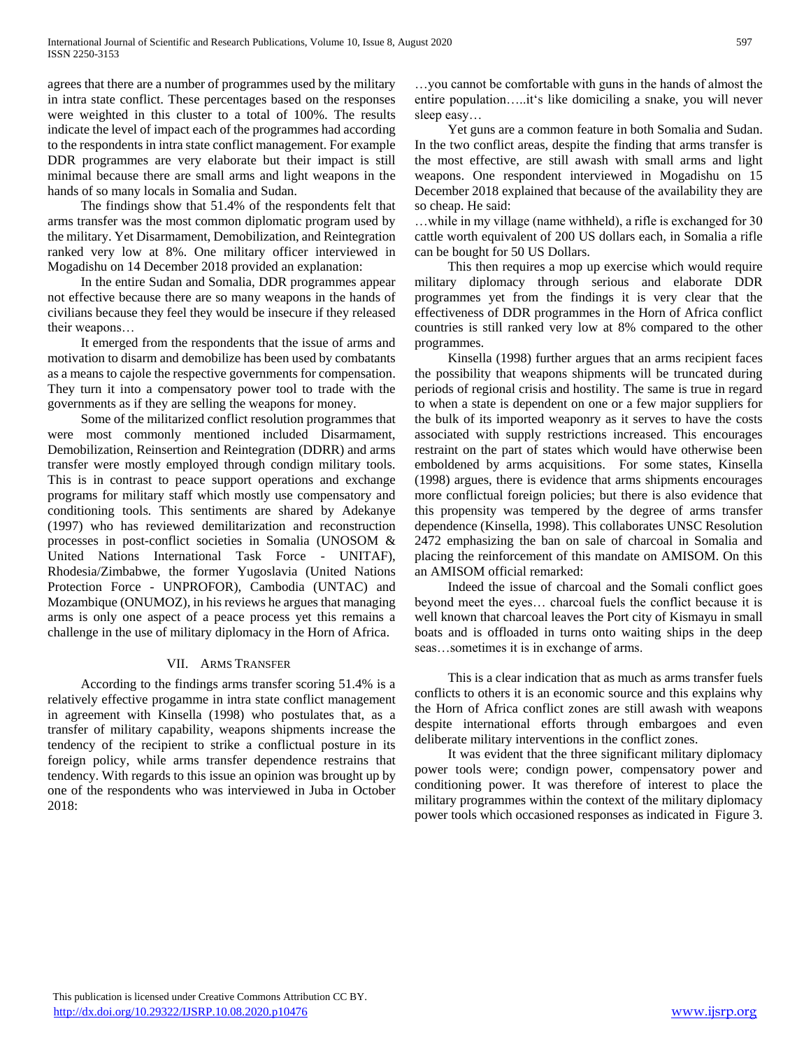agrees that there are a number of programmes used by the military in intra state conflict. These percentages based on the responses were weighted in this cluster to a total of 100%. The results indicate the level of impact each of the programmes had according to the respondents in intra state conflict management. For example DDR programmes are very elaborate but their impact is still minimal because there are small arms and light weapons in the hands of so many locals in Somalia and Sudan.

 The findings show that 51.4% of the respondents felt that arms transfer was the most common diplomatic program used by the military. Yet Disarmament, Demobilization, and Reintegration ranked very low at 8%. One military officer interviewed in Mogadishu on 14 December 2018 provided an explanation:

 In the entire Sudan and Somalia, DDR programmes appear not effective because there are so many weapons in the hands of civilians because they feel they would be insecure if they released their weapons…

 It emerged from the respondents that the issue of arms and motivation to disarm and demobilize has been used by combatants as a means to cajole the respective governments for compensation. They turn it into a compensatory power tool to trade with the governments as if they are selling the weapons for money.

 Some of the militarized conflict resolution programmes that were most commonly mentioned included Disarmament, Demobilization, Reinsertion and Reintegration (DDRR) and arms transfer were mostly employed through condign military tools. This is in contrast to peace support operations and exchange programs for military staff which mostly use compensatory and conditioning tools. This sentiments are shared by Adekanye (1997) who has reviewed demilitarization and reconstruction processes in post-conflict societies in Somalia (UNOSOM & United Nations International Task Force - UNITAF), Rhodesia/Zimbabwe, the former Yugoslavia (United Nations Protection Force - UNPROFOR), Cambodia (UNTAC) and Mozambique (ONUMOZ), in his reviews he argues that managing arms is only one aspect of a peace process yet this remains a challenge in the use of military diplomacy in the Horn of Africa.

## VII. ARMS TRANSFER

 According to the findings arms transfer scoring 51.4% is a relatively effective progamme in intra state conflict management in agreement with Kinsella (1998) who postulates that, as a transfer of military capability, weapons shipments increase the tendency of the recipient to strike a conflictual posture in its foreign policy, while arms transfer dependence restrains that tendency. With regards to this issue an opinion was brought up by one of the respondents who was interviewed in Juba in October 2018:

…you cannot be comfortable with guns in the hands of almost the entire population…..it's like domiciling a snake, you will never sleep easy…

 Yet guns are a common feature in both Somalia and Sudan. In the two conflict areas, despite the finding that arms transfer is the most effective, are still awash with small arms and light weapons. One respondent interviewed in Mogadishu on 15 December 2018 explained that because of the availability they are so cheap. He said:

…while in my village (name withheld), a rifle is exchanged for 30 cattle worth equivalent of 200 US dollars each, in Somalia a rifle can be bought for 50 US Dollars.

 This then requires a mop up exercise which would require military diplomacy through serious and elaborate DDR programmes yet from the findings it is very clear that the effectiveness of DDR programmes in the Horn of Africa conflict countries is still ranked very low at 8% compared to the other programmes.

 Kinsella (1998) further argues that an arms recipient faces the possibility that weapons shipments will be truncated during periods of regional crisis and hostility. The same is true in regard to when a state is dependent on one or a few major suppliers for the bulk of its imported weaponry as it serves to have the costs associated with supply restrictions increased. This encourages restraint on the part of states which would have otherwise been emboldened by arms acquisitions. For some states, Kinsella (1998) argues, there is evidence that arms shipments encourages more conflictual foreign policies; but there is also evidence that this propensity was tempered by the degree of arms transfer dependence (Kinsella, 1998). This collaborates UNSC Resolution 2472 emphasizing the ban on sale of charcoal in Somalia and placing the reinforcement of this mandate on AMISOM. On this an AMISOM official remarked:

 Indeed the issue of charcoal and the Somali conflict goes beyond meet the eyes… charcoal fuels the conflict because it is well known that charcoal leaves the Port city of Kismayu in small boats and is offloaded in turns onto waiting ships in the deep seas…sometimes it is in exchange of arms.

 This is a clear indication that as much as arms transfer fuels conflicts to others it is an economic source and this explains why the Horn of Africa conflict zones are still awash with weapons despite international efforts through embargoes and even deliberate military interventions in the conflict zones.

 It was evident that the three significant military diplomacy power tools were; condign power, compensatory power and conditioning power. It was therefore of interest to place the military programmes within the context of the military diplomacy power tools which occasioned responses as indicated in Figure 3.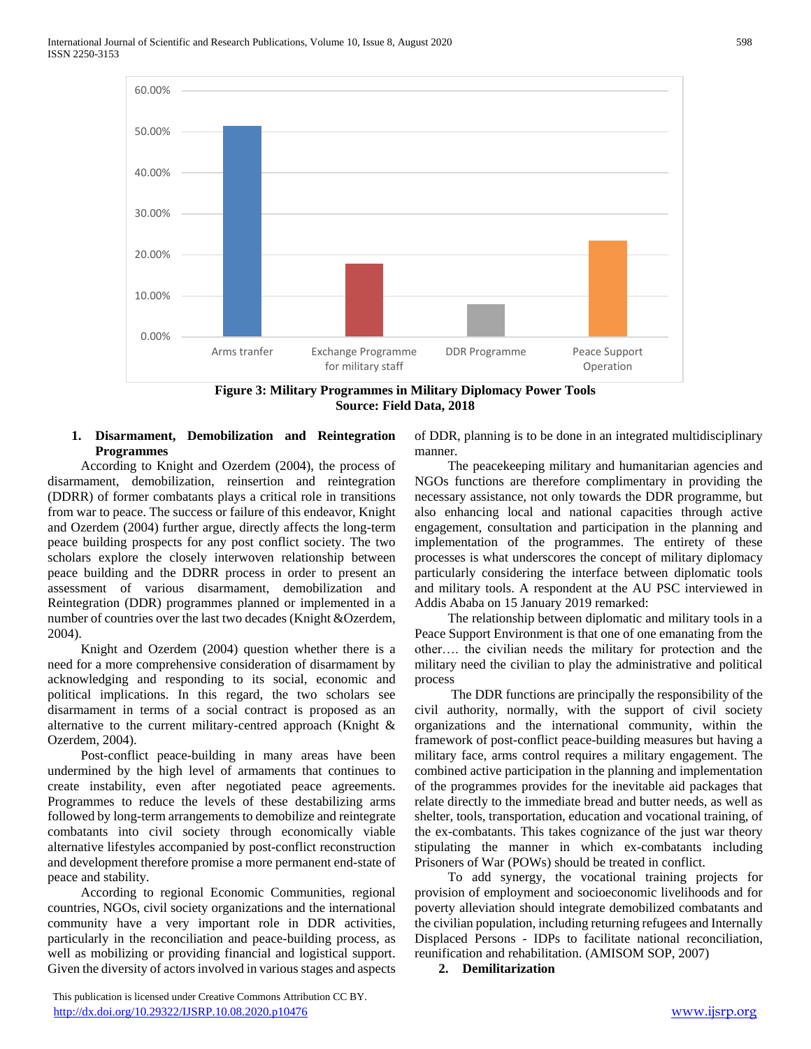

**Figure 3: Military Programmes in Military Diplomacy Power Tools Source: Field Data, 2018**

# **1. Disarmament, Demobilization and Reintegration Programmes**

 According to Knight and Ozerdem (2004), the process of disarmament, demobilization, reinsertion and reintegration (DDRR) of former combatants plays a critical role in transitions from war to peace. The success or failure of this endeavor, Knight and Ozerdem (2004) further argue, directly affects the long-term peace building prospects for any post conflict society. The two scholars explore the closely interwoven relationship between peace building and the DDRR process in order to present an assessment of various disarmament, demobilization and Reintegration (DDR) programmes planned or implemented in a number of countries over the last two decades (Knight &Ozerdem, 2004).

 Knight and Ozerdem (2004) question whether there is a need for a more comprehensive consideration of disarmament by acknowledging and responding to its social, economic and political implications. In this regard, the two scholars see disarmament in terms of a social contract is proposed as an alternative to the current military-centred approach (Knight & Ozerdem, 2004).

 Post-conflict peace-building in many areas have been undermined by the high level of armaments that continues to create instability, even after negotiated peace agreements. Programmes to reduce the levels of these destabilizing arms followed by long-term arrangements to demobilize and reintegrate combatants into civil society through economically viable alternative lifestyles accompanied by post-conflict reconstruction and development therefore promise a more permanent end-state of peace and stability.

 According to regional Economic Communities, regional countries, NGOs, civil society organizations and the international community have a very important role in DDR activities, particularly in the reconciliation and peace-building process, as well as mobilizing or providing financial and logistical support. Given the diversity of actors involved in various stages and aspects

of DDR, planning is to be done in an integrated multidisciplinary manner.

 The peacekeeping military and humanitarian agencies and NGOs functions are therefore complimentary in providing the necessary assistance, not only towards the DDR programme, but also enhancing local and national capacities through active engagement, consultation and participation in the planning and implementation of the programmes. The entirety of these processes is what underscores the concept of military diplomacy particularly considering the interface between diplomatic tools and military tools. A respondent at the AU PSC interviewed in Addis Ababa on 15 January 2019 remarked:

 The relationship between diplomatic and military tools in a Peace Support Environment is that one of one emanating from the other…. the civilian needs the military for protection and the military need the civilian to play the administrative and political process

 The DDR functions are principally the responsibility of the civil authority, normally, with the support of civil society organizations and the international community, within the framework of post-conflict peace-building measures but having a military face, arms control requires a military engagement. The combined active participation in the planning and implementation of the programmes provides for the inevitable aid packages that relate directly to the immediate bread and butter needs, as well as shelter, tools, transportation, education and vocational training, of the ex-combatants. This takes cognizance of the just war theory stipulating the manner in which ex-combatants including Prisoners of War (POWs) should be treated in conflict.

 To add synergy, the vocational training projects for provision of employment and socioeconomic livelihoods and for poverty alleviation should integrate demobilized combatants and the civilian population, including returning refugees and Internally Displaced Persons - IDPs to facilitate national reconciliation, reunification and rehabilitation. (AMISOM SOP, 2007)

# **2. Demilitarization**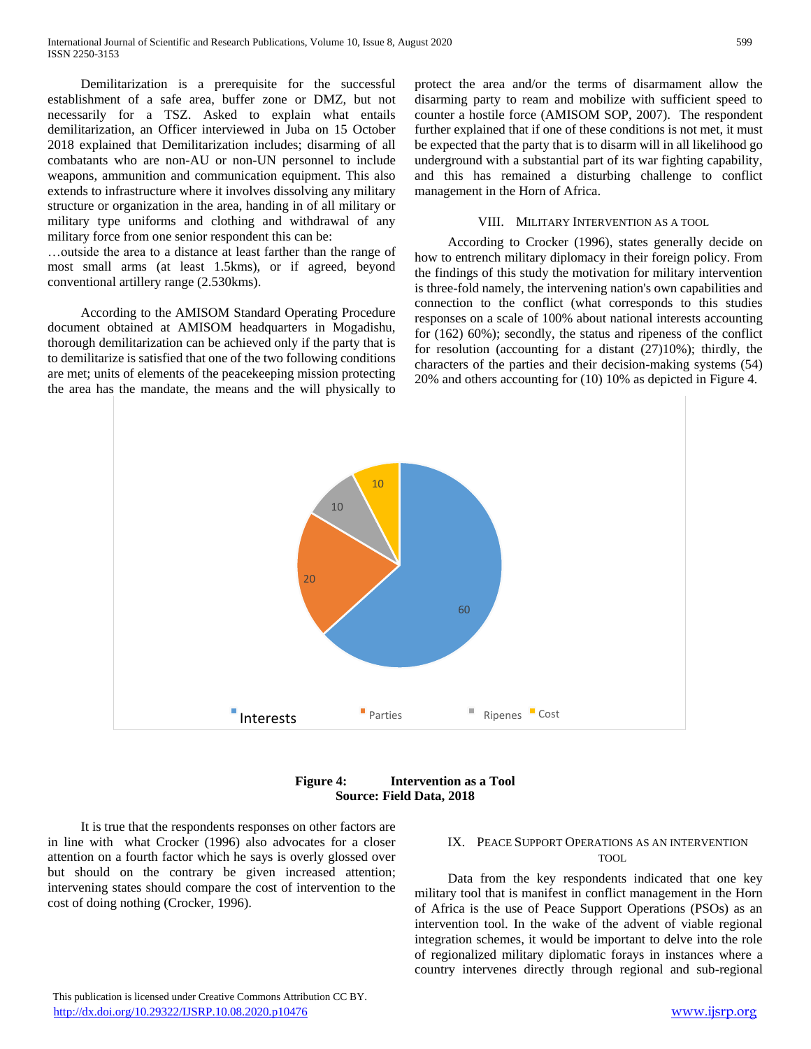Demilitarization is a prerequisite for the successful establishment of a safe area, buffer zone or DMZ, but not necessarily for a TSZ. Asked to explain what entails demilitarization, an Officer interviewed in Juba on 15 October 2018 explained that Demilitarization includes; disarming of all combatants who are non-AU or non-UN personnel to include weapons, ammunition and communication equipment. This also extends to infrastructure where it involves dissolving any military structure or organization in the area, handing in of all military or military type uniforms and clothing and withdrawal of any military force from one senior respondent this can be:

…outside the area to a distance at least farther than the range of most small arms (at least 1.5kms), or if agreed, beyond conventional artillery range (2.530kms).

 According to the AMISOM Standard Operating Procedure document obtained at AMISOM headquarters in Mogadishu, thorough demilitarization can be achieved only if the party that is to demilitarize is satisfied that one of the two following conditions are met; units of elements of the peacekeeping mission protecting the area has the mandate, the means and the will physically to protect the area and/or the terms of disarmament allow the disarming party to ream and mobilize with sufficient speed to counter a hostile force (AMISOM SOP, 2007). The respondent further explained that if one of these conditions is not met, it must be expected that the party that is to disarm will in all likelihood go underground with a substantial part of its war fighting capability, and this has remained a disturbing challenge to conflict management in the Horn of Africa.

#### VIII. MILITARY INTERVENTION AS A TOOL

 According to Crocker (1996), states generally decide on how to entrench military diplomacy in their foreign policy. From the findings of this study the motivation for military intervention is three-fold namely, the intervening nation's own capabilities and connection to the conflict (what corresponds to this studies responses on a scale of 100% about national interests accounting for (162) 60%); secondly, the status and ripeness of the conflict for resolution (accounting for a distant (27)10%); thirdly, the characters of the parties and their decision-making systems (54) 20% and others accounting for (10) 10% as depicted in Figure 4.



# **Figure 4: Intervention as a Tool Source: Field Data, 2018**

 It is true that the respondents responses on other factors are in line with what Crocker (1996) also advocates for a closer attention on a fourth factor which he says is overly glossed over but should on the contrary be given increased attention; intervening states should compare the cost of intervention to the cost of doing nothing (Crocker, 1996).

#### IX. PEACE SUPPORT OPERATIONS AS AN INTERVENTION TOOL

 Data from the key respondents indicated that one key military tool that is manifest in conflict management in the Horn of Africa is the use of Peace Support Operations (PSOs) as an intervention tool. In the wake of the advent of viable regional integration schemes, it would be important to delve into the role of regionalized military diplomatic forays in instances where a country intervenes directly through regional and sub-regional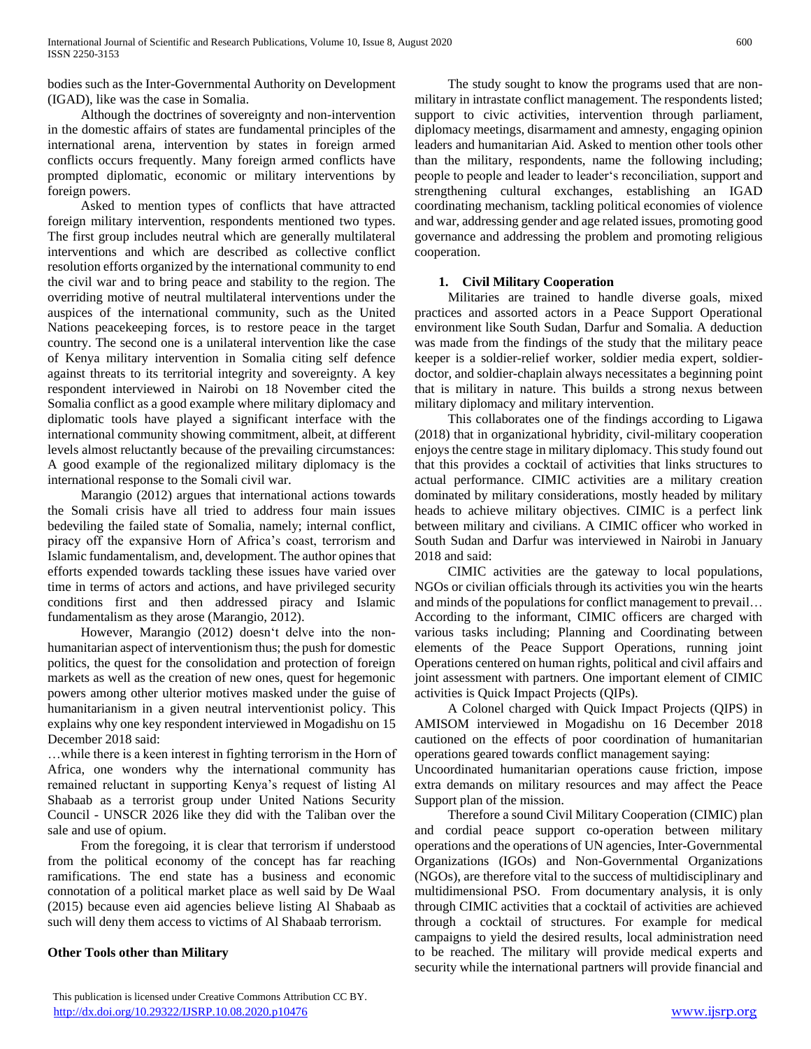bodies such as the Inter-Governmental Authority on Development (IGAD), like was the case in Somalia.

 Although the doctrines of sovereignty and non-intervention in the domestic affairs of states are fundamental principles of the international arena, intervention by states in foreign armed conflicts occurs frequently. Many foreign armed conflicts have prompted diplomatic, economic or military interventions by foreign powers.

 Asked to mention types of conflicts that have attracted foreign military intervention, respondents mentioned two types. The first group includes neutral which are generally multilateral interventions and which are described as collective conflict resolution efforts organized by the international community to end the civil war and to bring peace and stability to the region. The overriding motive of neutral multilateral interventions under the auspices of the international community, such as the United Nations peacekeeping forces, is to restore peace in the target country. The second one is a unilateral intervention like the case of Kenya military intervention in Somalia citing self defence against threats to its territorial integrity and sovereignty. A key respondent interviewed in Nairobi on 18 November cited the Somalia conflict as a good example where military diplomacy and diplomatic tools have played a significant interface with the international community showing commitment, albeit, at different levels almost reluctantly because of the prevailing circumstances: A good example of the regionalized military diplomacy is the international response to the Somali civil war.

 Marangio (2012) argues that international actions towards the Somali crisis have all tried to address four main issues bedeviling the failed state of Somalia, namely; internal conflict, piracy off the expansive Horn of Africa's coast, terrorism and Islamic fundamentalism, and, development. The author opines that efforts expended towards tackling these issues have varied over time in terms of actors and actions, and have privileged security conditions first and then addressed piracy and Islamic fundamentalism as they arose (Marangio, 2012).

 However, Marangio (2012) doesn't delve into the nonhumanitarian aspect of interventionism thus; the push for domestic politics, the quest for the consolidation and protection of foreign markets as well as the creation of new ones, quest for hegemonic powers among other ulterior motives masked under the guise of humanitarianism in a given neutral interventionist policy. This explains why one key respondent interviewed in Mogadishu on 15 December 2018 said:

…while there is a keen interest in fighting terrorism in the Horn of Africa, one wonders why the international community has remained reluctant in supporting Kenya's request of listing Al Shabaab as a terrorist group under United Nations Security Council - UNSCR 2026 like they did with the Taliban over the sale and use of opium.

 From the foregoing, it is clear that terrorism if understood from the political economy of the concept has far reaching ramifications. The end state has a business and economic connotation of a political market place as well said by De Waal (2015) because even aid agencies believe listing Al Shabaab as such will deny them access to victims of Al Shabaab terrorism.

## **Other Tools other than Military**

 The study sought to know the programs used that are nonmilitary in intrastate conflict management. The respondents listed; support to civic activities, intervention through parliament, diplomacy meetings, disarmament and amnesty, engaging opinion leaders and humanitarian Aid. Asked to mention other tools other than the military, respondents, name the following including; people to people and leader to leader's reconciliation, support and strengthening cultural exchanges, establishing an IGAD coordinating mechanism, tackling political economies of violence and war, addressing gender and age related issues, promoting good governance and addressing the problem and promoting religious cooperation.

## **1. Civil Military Cooperation**

 Militaries are trained to handle diverse goals, mixed practices and assorted actors in a Peace Support Operational environment like South Sudan, Darfur and Somalia. A deduction was made from the findings of the study that the military peace keeper is a soldier-relief worker, soldier media expert, soldierdoctor, and soldier-chaplain always necessitates a beginning point that is military in nature. This builds a strong nexus between military diplomacy and military intervention.

 This collaborates one of the findings according to Ligawa (2018) that in organizational hybridity, civil-military cooperation enjoys the centre stage in military diplomacy. This study found out that this provides a cocktail of activities that links structures to actual performance. CIMIC activities are a military creation dominated by military considerations, mostly headed by military heads to achieve military objectives. CIMIC is a perfect link between military and civilians. A CIMIC officer who worked in South Sudan and Darfur was interviewed in Nairobi in January 2018 and said:

 CIMIC activities are the gateway to local populations, NGOs or civilian officials through its activities you win the hearts and minds of the populations for conflict management to prevail… According to the informant, CIMIC officers are charged with various tasks including; Planning and Coordinating between elements of the Peace Support Operations, running joint Operations centered on human rights, political and civil affairs and joint assessment with partners. One important element of CIMIC activities is Quick Impact Projects (QIPs).

 A Colonel charged with Quick Impact Projects (QIPS) in AMISOM interviewed in Mogadishu on 16 December 2018 cautioned on the effects of poor coordination of humanitarian operations geared towards conflict management saying:

Uncoordinated humanitarian operations cause friction, impose extra demands on military resources and may affect the Peace Support plan of the mission.

 Therefore a sound Civil Military Cooperation (CIMIC) plan and cordial peace support co-operation between military operations and the operations of UN agencies, Inter-Governmental Organizations (IGOs) and Non-Governmental Organizations (NGOs), are therefore vital to the success of multidisciplinary and multidimensional PSO. From documentary analysis, it is only through CIMIC activities that a cocktail of activities are achieved through a cocktail of structures. For example for medical campaigns to yield the desired results, local administration need to be reached. The military will provide medical experts and security while the international partners will provide financial and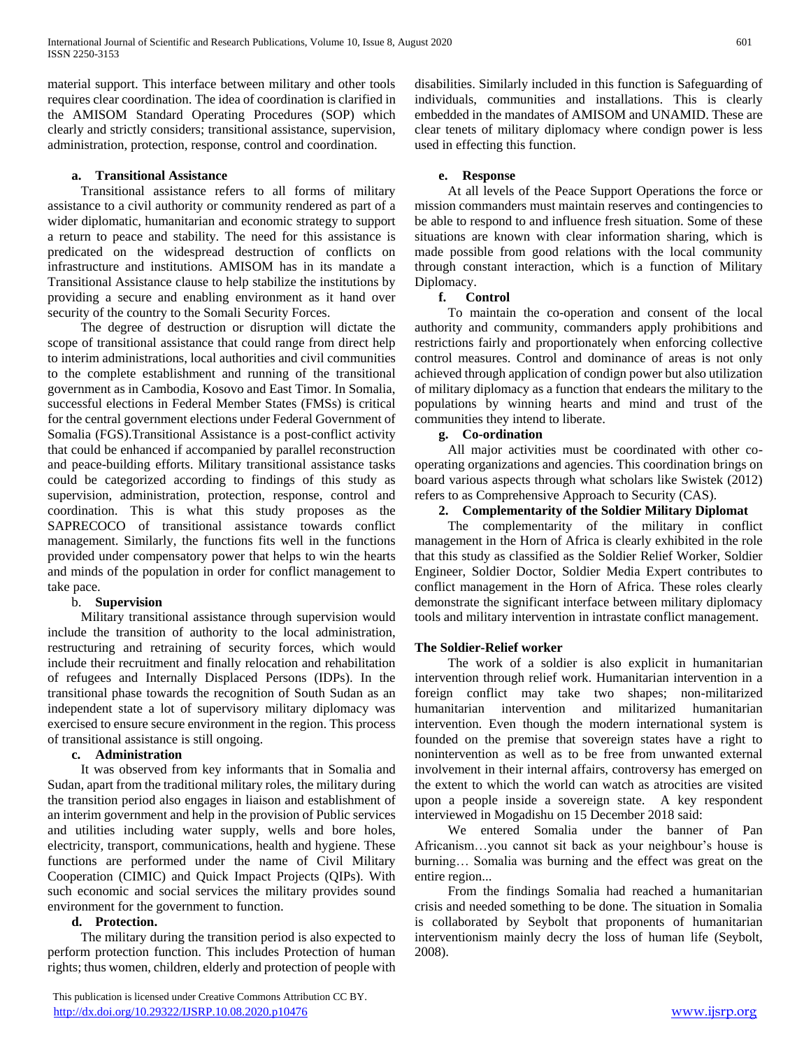material support. This interface between military and other tools requires clear coordination. The idea of coordination is clarified in the AMISOM Standard Operating Procedures (SOP) which clearly and strictly considers; transitional assistance, supervision, administration, protection, response, control and coordination.

# **a. Transitional Assistance**

 Transitional assistance refers to all forms of military assistance to a civil authority or community rendered as part of a wider diplomatic, humanitarian and economic strategy to support a return to peace and stability. The need for this assistance is predicated on the widespread destruction of conflicts on infrastructure and institutions. AMISOM has in its mandate a Transitional Assistance clause to help stabilize the institutions by providing a secure and enabling environment as it hand over security of the country to the Somali Security Forces.

 The degree of destruction or disruption will dictate the scope of transitional assistance that could range from direct help to interim administrations, local authorities and civil communities to the complete establishment and running of the transitional government as in Cambodia, Kosovo and East Timor. In Somalia, successful elections in Federal Member States (FMSs) is critical for the central government elections under Federal Government of Somalia (FGS).Transitional Assistance is a post-conflict activity that could be enhanced if accompanied by parallel reconstruction and peace-building efforts. Military transitional assistance tasks could be categorized according to findings of this study as supervision, administration, protection, response, control and coordination. This is what this study proposes as the SAPRECOCO of transitional assistance towards conflict management. Similarly, the functions fits well in the functions provided under compensatory power that helps to win the hearts and minds of the population in order for conflict management to take pace.

# b. **Supervision**

 Military transitional assistance through supervision would include the transition of authority to the local administration, restructuring and retraining of security forces, which would include their recruitment and finally relocation and rehabilitation of refugees and Internally Displaced Persons (IDPs). In the transitional phase towards the recognition of South Sudan as an independent state a lot of supervisory military diplomacy was exercised to ensure secure environment in the region. This process of transitional assistance is still ongoing.

## **c. Administration**

 It was observed from key informants that in Somalia and Sudan, apart from the traditional military roles, the military during the transition period also engages in liaison and establishment of an interim government and help in the provision of Public services and utilities including water supply, wells and bore holes, electricity, transport, communications, health and hygiene. These functions are performed under the name of Civil Military Cooperation (CIMIC) and Quick Impact Projects (QIPs). With such economic and social services the military provides sound environment for the government to function.

## **d. Protection.**

 The military during the transition period is also expected to perform protection function. This includes Protection of human rights; thus women, children, elderly and protection of people with

 This publication is licensed under Creative Commons Attribution CC BY. <http://dx.doi.org/10.29322/IJSRP.10.08.2020.p10476> [www.ijsrp.org](http://ijsrp.org/)

disabilities. Similarly included in this function is Safeguarding of individuals, communities and installations. This is clearly embedded in the mandates of AMISOM and UNAMID. These are clear tenets of military diplomacy where condign power is less used in effecting this function.

# **e. Response**

 At all levels of the Peace Support Operations the force or mission commanders must maintain reserves and contingencies to be able to respond to and influence fresh situation. Some of these situations are known with clear information sharing, which is made possible from good relations with the local community through constant interaction, which is a function of Military Diplomacy.

# **f. Control**

 To maintain the co-operation and consent of the local authority and community, commanders apply prohibitions and restrictions fairly and proportionately when enforcing collective control measures. Control and dominance of areas is not only achieved through application of condign power but also utilization of military diplomacy as a function that endears the military to the populations by winning hearts and mind and trust of the communities they intend to liberate.

# **g. Co-ordination**

 All major activities must be coordinated with other cooperating organizations and agencies. This coordination brings on board various aspects through what scholars like Swistek (2012) refers to as Comprehensive Approach to Security (CAS).

# **2. Complementarity of the Soldier Military Diplomat**

 The complementarity of the military in conflict management in the Horn of Africa is clearly exhibited in the role that this study as classified as the Soldier Relief Worker, Soldier Engineer, Soldier Doctor, Soldier Media Expert contributes to conflict management in the Horn of Africa. These roles clearly demonstrate the significant interface between military diplomacy tools and military intervention in intrastate conflict management.

# **The Soldier-Relief worker**

 The work of a soldier is also explicit in humanitarian intervention through relief work. Humanitarian intervention in a foreign conflict may take two shapes; non-militarized humanitarian intervention and militarized humanitarian intervention. Even though the modern international system is founded on the premise that sovereign states have a right to nonintervention as well as to be free from unwanted external involvement in their internal affairs, controversy has emerged on the extent to which the world can watch as atrocities are visited upon a people inside a sovereign state. A key respondent interviewed in Mogadishu on 15 December 2018 said:

 We entered Somalia under the banner of Pan Africanism…you cannot sit back as your neighbour's house is burning… Somalia was burning and the effect was great on the entire region...

 From the findings Somalia had reached a humanitarian crisis and needed something to be done. The situation in Somalia is collaborated by Seybolt that proponents of humanitarian interventionism mainly decry the loss of human life (Seybolt, 2008).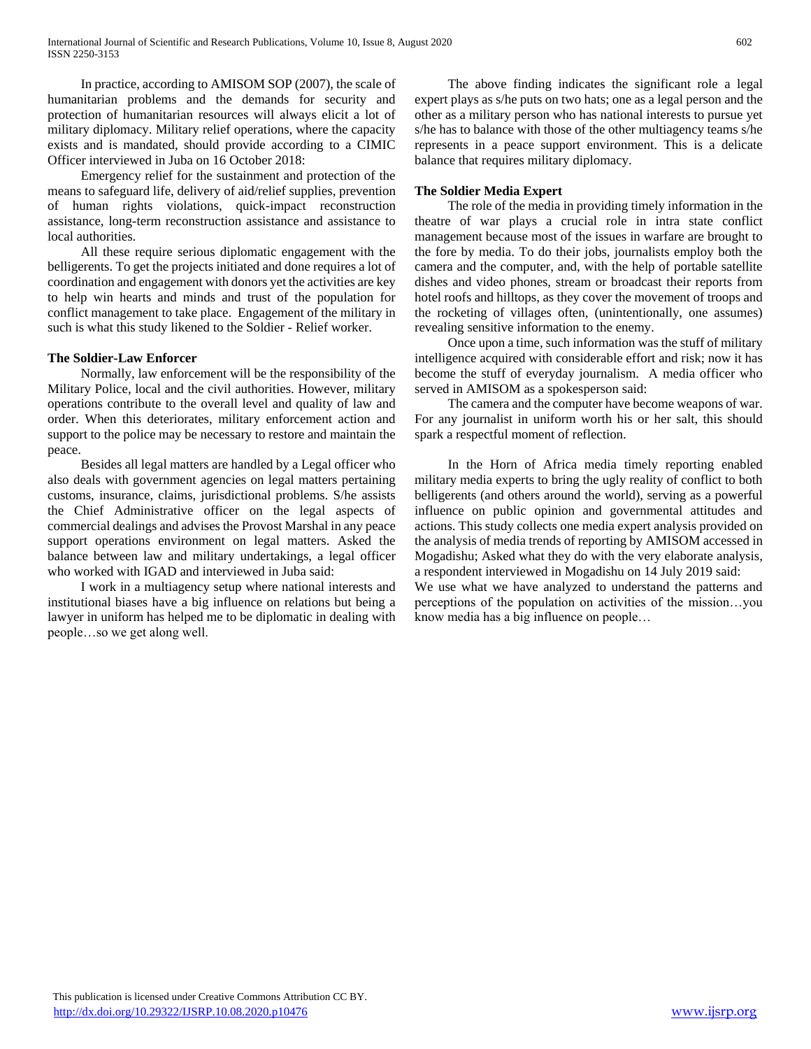In practice, according to AMISOM SOP (2007), the scale of humanitarian problems and the demands for security and protection of humanitarian resources will always elicit a lot of military diplomacy. Military relief operations, where the capacity exists and is mandated, should provide according to a CIMIC Officer interviewed in Juba on 16 October 2018:

 Emergency relief for the sustainment and protection of the means to safeguard life, delivery of aid/relief supplies, prevention of human rights violations, quick-impact reconstruction assistance, long-term reconstruction assistance and assistance to local authorities.

 All these require serious diplomatic engagement with the belligerents. To get the projects initiated and done requires a lot of coordination and engagement with donors yet the activities are key to help win hearts and minds and trust of the population for conflict management to take place. Engagement of the military in such is what this study likened to the Soldier - Relief worker.

## **The Soldier-Law Enforcer**

 Normally, law enforcement will be the responsibility of the Military Police, local and the civil authorities. However, military operations contribute to the overall level and quality of law and order. When this deteriorates, military enforcement action and support to the police may be necessary to restore and maintain the peace.

 Besides all legal matters are handled by a Legal officer who also deals with government agencies on legal matters pertaining customs, insurance, claims, jurisdictional problems. S/he assists the Chief Administrative officer on the legal aspects of commercial dealings and advises the Provost Marshal in any peace support operations environment on legal matters. Asked the balance between law and military undertakings, a legal officer who worked with IGAD and interviewed in Juba said:

 I work in a multiagency setup where national interests and institutional biases have a big influence on relations but being a lawyer in uniform has helped me to be diplomatic in dealing with people…so we get along well.

 The above finding indicates the significant role a legal expert plays as s/he puts on two hats; one as a legal person and the other as a military person who has national interests to pursue yet s/he has to balance with those of the other multiagency teams s/he represents in a peace support environment. This is a delicate balance that requires military diplomacy.

# **The Soldier Media Expert**

 The role of the media in providing timely information in the theatre of war plays a crucial role in intra state conflict management because most of the issues in warfare are brought to the fore by media. To do their jobs, journalists employ both the camera and the computer, and, with the help of portable satellite dishes and video phones, stream or broadcast their reports from hotel roofs and hilltops, as they cover the movement of troops and the rocketing of villages often, (unintentionally, one assumes) revealing sensitive information to the enemy.

 Once upon a time, such information was the stuff of military intelligence acquired with considerable effort and risk; now it has become the stuff of everyday journalism. A media officer who served in AMISOM as a spokesperson said:

 The camera and the computer have become weapons of war. For any journalist in uniform worth his or her salt, this should spark a respectful moment of reflection.

 In the Horn of Africa media timely reporting enabled military media experts to bring the ugly reality of conflict to both belligerents (and others around the world), serving as a powerful influence on public opinion and governmental attitudes and actions. This study collects one media expert analysis provided on the analysis of media trends of reporting by AMISOM accessed in Mogadishu; Asked what they do with the very elaborate analysis, a respondent interviewed in Mogadishu on 14 July 2019 said: We use what we have analyzed to understand the patterns and perceptions of the population on activities of the mission…you know media has a big influence on people…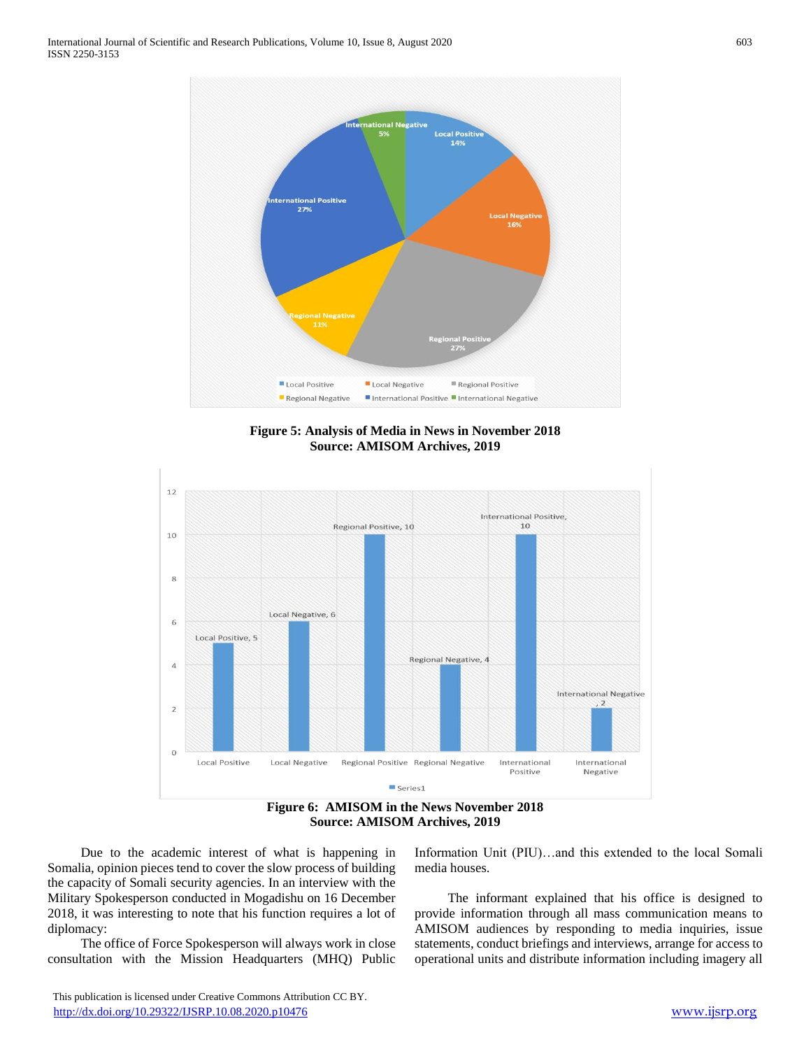

**Figure 5: Analysis of Media in News in November 2018 Source: AMISOM Archives, 2019**



**Figure 6: AMISOM in the News November 2018 Source: AMISOM Archives, 2019**

 Due to the academic interest of what is happening in Somalia, opinion pieces tend to cover the slow process of building the capacity of Somali security agencies. In an interview with the Military Spokesperson conducted in Mogadishu on 16 December 2018, it was interesting to note that his function requires a lot of diplomacy:

 The office of Force Spokesperson will always work in close consultation with the Mission Headquarters (MHQ) Public Information Unit (PIU)…and this extended to the local Somali media houses.

 The informant explained that his office is designed to provide information through all mass communication means to AMISOM audiences by responding to media inquiries, issue statements, conduct briefings and interviews, arrange for access to operational units and distribute information including imagery all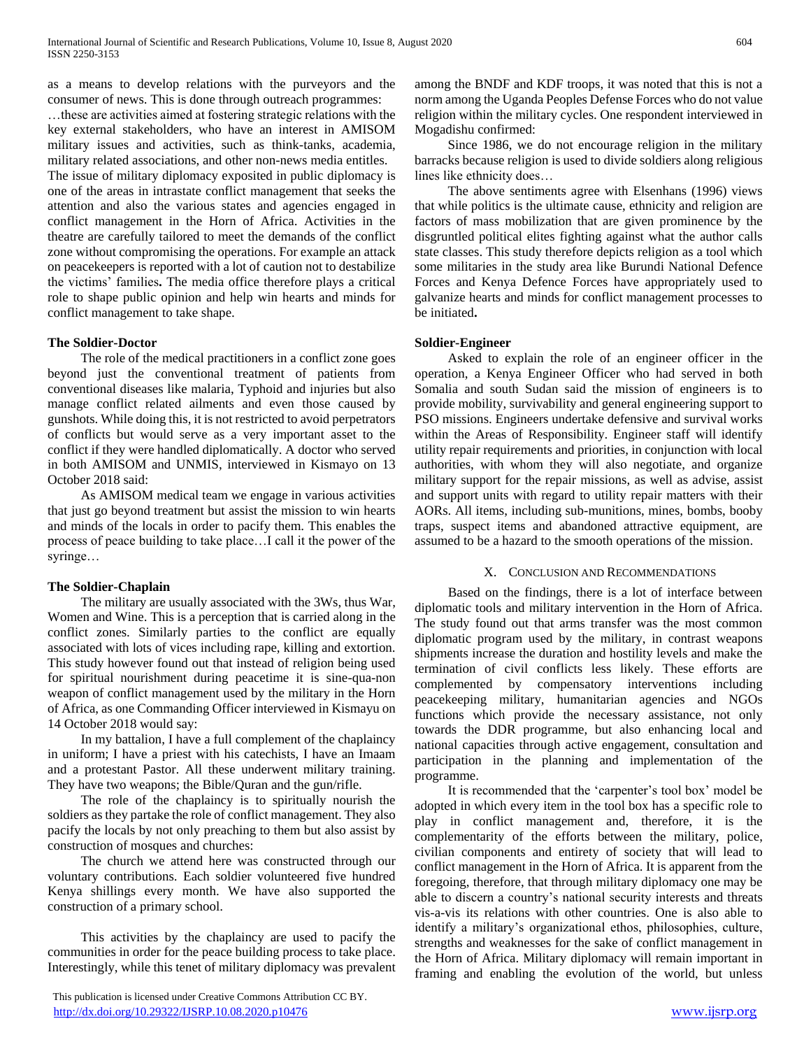as a means to develop relations with the purveyors and the consumer of news. This is done through outreach programmes:

…these are activities aimed at fostering strategic relations with the key external stakeholders, who have an interest in AMISOM military issues and activities, such as think-tanks, academia, military related associations, and other non-news media entitles. The issue of military diplomacy exposited in public diplomacy is one of the areas in intrastate conflict management that seeks the attention and also the various states and agencies engaged in conflict management in the Horn of Africa. Activities in the theatre are carefully tailored to meet the demands of the conflict zone without compromising the operations. For example an attack on peacekeepers is reported with a lot of caution not to destabilize the victims' families**.** The media office therefore plays a critical role to shape public opinion and help win hearts and minds for conflict management to take shape.

# **The Soldier-Doctor**

 The role of the medical practitioners in a conflict zone goes beyond just the conventional treatment of patients from conventional diseases like malaria, Typhoid and injuries but also manage conflict related ailments and even those caused by gunshots. While doing this, it is not restricted to avoid perpetrators of conflicts but would serve as a very important asset to the conflict if they were handled diplomatically. A doctor who served in both AMISOM and UNMIS, interviewed in Kismayo on 13 October 2018 said:

 As AMISOM medical team we engage in various activities that just go beyond treatment but assist the mission to win hearts and minds of the locals in order to pacify them. This enables the process of peace building to take place…I call it the power of the syringe…

## **The Soldier-Chaplain**

 The military are usually associated with the 3Ws, thus War, Women and Wine. This is a perception that is carried along in the conflict zones. Similarly parties to the conflict are equally associated with lots of vices including rape, killing and extortion. This study however found out that instead of religion being used for spiritual nourishment during peacetime it is sine-qua-non weapon of conflict management used by the military in the Horn of Africa, as one Commanding Officer interviewed in Kismayu on 14 October 2018 would say:

 In my battalion, I have a full complement of the chaplaincy in uniform; I have a priest with his catechists, I have an Imaam and a protestant Pastor. All these underwent military training. They have two weapons; the Bible/Quran and the gun/rifle.

 The role of the chaplaincy is to spiritually nourish the soldiers as they partake the role of conflict management. They also pacify the locals by not only preaching to them but also assist by construction of mosques and churches:

 The church we attend here was constructed through our voluntary contributions. Each soldier volunteered five hundred Kenya shillings every month. We have also supported the construction of a primary school.

 This activities by the chaplaincy are used to pacify the communities in order for the peace building process to take place. Interestingly, while this tenet of military diplomacy was prevalent

 This publication is licensed under Creative Commons Attribution CC BY. <http://dx.doi.org/10.29322/IJSRP.10.08.2020.p10476> [www.ijsrp.org](http://ijsrp.org/)

among the BNDF and KDF troops, it was noted that this is not a norm among the Uganda Peoples Defense Forces who do not value religion within the military cycles. One respondent interviewed in Mogadishu confirmed:

 Since 1986, we do not encourage religion in the military barracks because religion is used to divide soldiers along religious lines like ethnicity does…

 The above sentiments agree with Elsenhans (1996) views that while politics is the ultimate cause, ethnicity and religion are factors of mass mobilization that are given prominence by the disgruntled political elites fighting against what the author calls state classes. This study therefore depicts religion as a tool which some militaries in the study area like Burundi National Defence Forces and Kenya Defence Forces have appropriately used to galvanize hearts and minds for conflict management processes to be initiated**.** 

# **Soldier-Engineer**

 Asked to explain the role of an engineer officer in the operation, a Kenya Engineer Officer who had served in both Somalia and south Sudan said the mission of engineers is to provide mobility, survivability and general engineering support to PSO missions. Engineers undertake defensive and survival works within the Areas of Responsibility. Engineer staff will identify utility repair requirements and priorities, in conjunction with local authorities, with whom they will also negotiate, and organize military support for the repair missions, as well as advise, assist and support units with regard to utility repair matters with their AORs. All items, including sub-munitions, mines, bombs, booby traps, suspect items and abandoned attractive equipment, are assumed to be a hazard to the smooth operations of the mission.

## X. CONCLUSION AND RECOMMENDATIONS

 Based on the findings, there is a lot of interface between diplomatic tools and military intervention in the Horn of Africa. The study found out that arms transfer was the most common diplomatic program used by the military, in contrast weapons shipments increase the duration and hostility levels and make the termination of civil conflicts less likely. These efforts are complemented by compensatory interventions including peacekeeping military, humanitarian agencies and NGOs functions which provide the necessary assistance, not only towards the DDR programme, but also enhancing local and national capacities through active engagement, consultation and participation in the planning and implementation of the programme.

 It is recommended that the 'carpenter's tool box' model be adopted in which every item in the tool box has a specific role to play in conflict management and, therefore, it is the complementarity of the efforts between the military, police, civilian components and entirety of society that will lead to conflict management in the Horn of Africa. It is apparent from the foregoing, therefore, that through military diplomacy one may be able to discern a country's national security interests and threats vis-a-vis its relations with other countries. One is also able to identify a military's organizational ethos, philosophies, culture, strengths and weaknesses for the sake of conflict management in the Horn of Africa. Military diplomacy will remain important in framing and enabling the evolution of the world, but unless